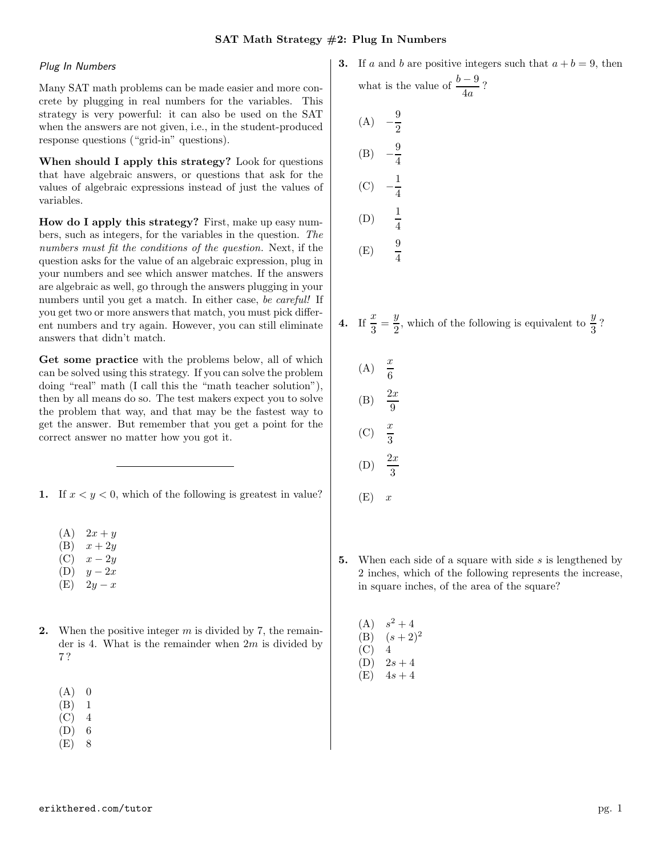## Plug In Numbers

Many SAT math problems can be made easier and more concrete by plugging in real numbers for the variables. This strategy is very powerful: it can also be used on the SAT when the answers are not given, i.e., in the student-produced response questions ("grid-in" questions).

When should I apply this strategy? Look for questions that have algebraic answers, or questions that ask for the values of algebraic expressions instead of just the values of variables.

How do I apply this strategy? First, make up easy numbers, such as integers, for the variables in the question. The numbers must fit the conditions of the question. Next, if the question asks for the value of an algebraic expression, plug in your numbers and see which answer matches. If the answers are algebraic as well, go through the answers plugging in your numbers until you get a match. In either case, be careful! If you get two or more answers that match, you must pick different numbers and try again. However, you can still eliminate answers that didn't match.

Get some practice with the problems below, all of which can be solved using this strategy. If you can solve the problem doing "real" math (I call this the "math teacher solution"), then by all means do so. The test makers expect you to solve the problem that way, and that may be the fastest way to get the answer. But remember that you get a point for the correct answer no matter how you got it.

1. If  $x < y < 0$ , which of the following is greatest in value?

- $(A) 2x + y$
- $(B)$   $x + 2y$
- $(C)$   $x 2y$
- $(D)$  y 2x
- $(E)$  2y x
- **2.** When the positive integer  $m$  is divided by 7, the remainder is 4. What is the remainder when  $2m$  is divided by 7 ?
	- $(A)$  0
	- (B) 1
	- $(C)$  4
	- (D) 6
	- (E) 8

**3.** If *a* and *b* are positive integers such that 
$$
a + b = 9
$$
, then what is the value of  $\frac{b-9}{4a}$ ?

(A) 
$$
-\frac{9}{2}
$$
  
\n(B)  $-\frac{9}{4}$   
\n(C)  $-\frac{1}{4}$   
\n(D)  $\frac{1}{4}$   
\n(E)  $\frac{9}{4}$ 

4. If 
$$
\frac{x}{3} = \frac{y}{2}
$$
, which of the following is equivalent to  $\frac{y}{3}$ ?

- $(A)$ 6  $(B)$ 9  $(C)$ 3  $(D)$ 3
- $(E)$  x
- 5. When each side of a square with side  $s$  is lengthened by 2 inches, which of the following represents the increase, in square inches, of the area of the square?
	- $(A)$  $s^2 + 4$ (B)  $(s+2)^2$
	- $(C)$  4
	- $(D)$  2s + 4
	- $(E)$  4s + 4